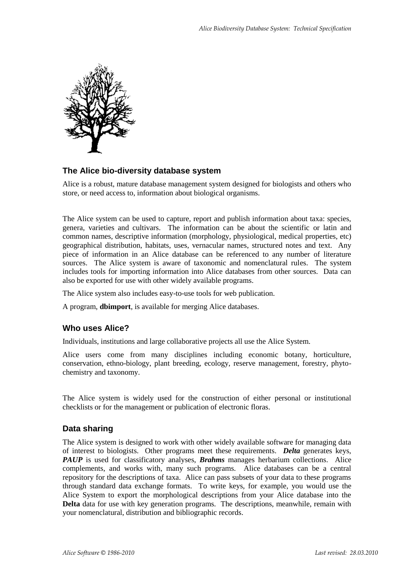

#### **The Alice bio-diversity database system**

Alice is a robust, mature database management system designed for biologists and others who store, or need access to, information about biological organisms.

The Alice system can be used to capture, report and publish information about taxa: species, genera, varieties and cultivars. The information can be about the scientific or latin and common names, descriptive information (morphology, physiological, medical properties, etc) geographical distribution, habitats, uses, vernacular names, structured notes and text. Any piece of information in an Alice database can be referenced to any number of literature sources. The Alice system is aware of taxonomic and nomenclatural rules. The system includes tools for importing information into Alice databases from other sources. Data can also be exported for use with other widely available programs.

The Alice system also includes easy-to-use tools for web publication.

A program, **dbimport**, is available for merging Alice databases.

#### **Who uses Alice?**

Individuals, institutions and large collaborative projects all use the Alice System.

Alice users come from many disciplines including economic botany, horticulture, conservation, ethno-biology, plant breeding, ecology, reserve management, forestry, phytochemistry and taxonomy.

The Alice system is widely used for the construction of either personal or institutional checklists or for the management or publication of electronic floras.

#### **Data sharing**

The Alice system is designed to work with other widely available software for managing data of interest to biologists. Other programs meet these requirements. *Delta* generates keys, *PAUP* is used for classificatory analyses, *Brahms* manages herbarium collections. Alice complements, and works with, many such programs. Alice databases can be a central repository for the descriptions of taxa. Alice can pass subsets of your data to these programs through standard data exchange formats. To write keys, for example, you would use the Alice System to export the morphological descriptions from your Alice database into the **Delta** data for use with key generation programs. The descriptions, meanwhile, remain with your nomenclatural, distribution and bibliographic records.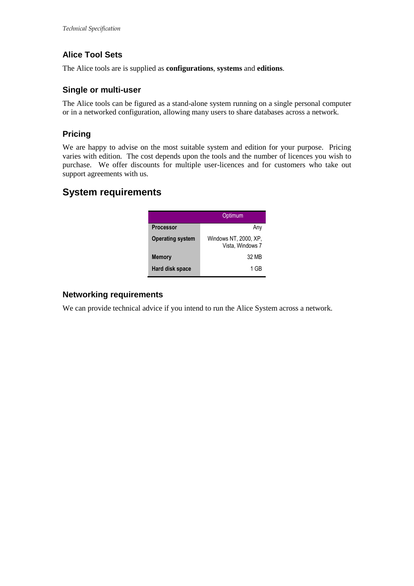# **Alice Tool Sets**

The Alice tools are is supplied as **configurations**, **systems** and **editions**.

### **Single or multi-user**

The Alice tools can be figured as a stand-alone system running on a single personal computer or in a networked configuration, allowing many users to share databases across a network.

# **Pricing**

We are happy to advise on the most suitable system and edition for your purpose. Pricing varies with edition. The cost depends upon the tools and the number of licences you wish to purchase. We offer discounts for multiple user-licences and for customers who take out support agreements with us.

# **System requirements**

|                         | Optimum                                   |
|-------------------------|-------------------------------------------|
| <b>Processor</b>        | Any                                       |
| <b>Operating system</b> | Windows NT, 2000, XP,<br>Vista, Windows 7 |
| <b>Memory</b>           | 32 MB                                     |
| Hard disk space         | 1 GR                                      |

### **Networking requirements**

We can provide technical advice if you intend to run the Alice System across a network.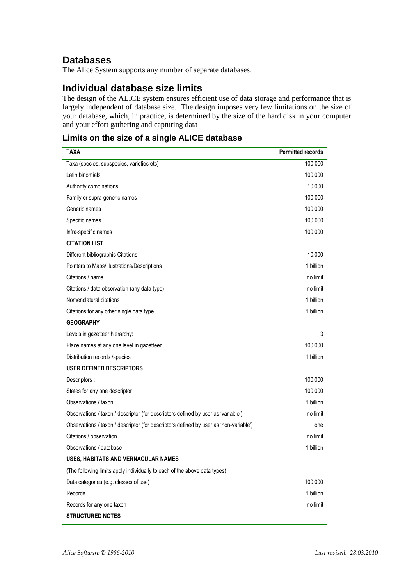# **Databases**

The Alice System supports any number of separate databases.

# **Individual database size limits**

The design of the ALICE system ensures efficient use of data storage and performance that is largely independent of database size. The design imposes very few limitations on the size of your database, which, in practice, is determined by the size of the hard disk in your computer and your effort gathering and capturing data

# **Limits on the size of a single ALICE database**

| TAXA                                                                                  | <b>Permitted records</b> |
|---------------------------------------------------------------------------------------|--------------------------|
| Taxa (species, subspecies, varieties etc)                                             | 100,000                  |
| Latin binomials                                                                       | 100,000                  |
| Authority combinations                                                                | 10,000                   |
| Family or supra-generic names                                                         | 100,000                  |
| Generic names                                                                         | 100,000                  |
| Specific names                                                                        | 100,000                  |
| Infra-specific names                                                                  | 100,000                  |
| <b>CITATION LIST</b>                                                                  |                          |
| Different bibliographic Citations                                                     | 10,000                   |
| Pointers to Maps/Illustrations/Descriptions                                           | 1 billion                |
| Citations / name                                                                      | no limit                 |
| Citations / data observation (any data type)                                          | no limit                 |
| Nomenclatural citations                                                               | 1 billion                |
| Citations for any other single data type                                              | 1 billion                |
| <b>GEOGRAPHY</b>                                                                      |                          |
| Levels in gazetteer hierarchy:                                                        | 3                        |
| Place names at any one level in gazetteer                                             | 100,000                  |
| Distribution records /species                                                         | 1 billion                |
| <b>USER DEFINED DESCRIPTORS</b>                                                       |                          |
| Descriptors :                                                                         | 100,000                  |
| States for any one descriptor                                                         | 100,000                  |
| Observations / taxon                                                                  | 1 billion                |
| Observations / taxon / descriptor (for descriptors defined by user as 'variable')     | no limit                 |
| Observations / taxon / descriptor (for descriptors defined by user as 'non-variable') | one                      |
| Citations / observation                                                               | no limit                 |
| Observations / database                                                               | 1 billion                |
| USES, HABITATS AND VERNACULAR NAMES                                                   |                          |
| (The following limits apply individually to each of the above data types)             |                          |
| Data categories (e.g. classes of use)                                                 | 100,000                  |
| Records                                                                               | 1 billion                |
| Records for any one taxon                                                             | no limit                 |
| <b>STRUCTURED NOTES</b>                                                               |                          |